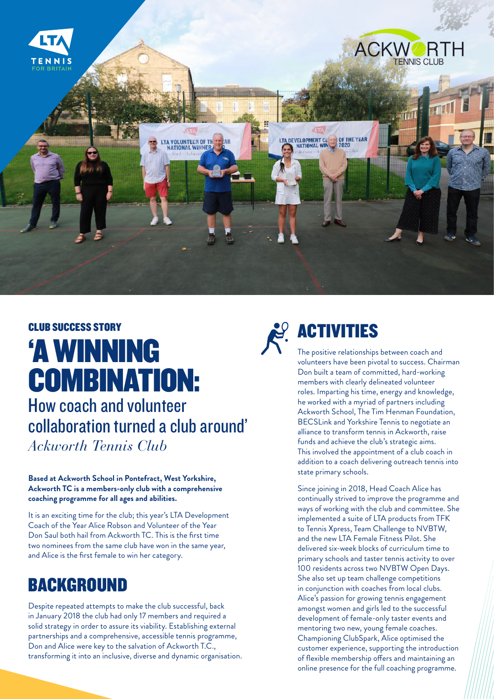

## CLUB SUCCESS STORY

# 'A WINNING COMBINATION:

#### *Ackworth Tennis Club* How coach and volunteer collaboration turned a club around'

#### **Based at Ackworth School in Pontefract, West Yorkshire, Ackworth TC is a members-only club with a comprehensive coaching programme for all ages and abilities.**

It is an exciting time for the club; this year's LTA Development Coach of the Year Alice Robson and Volunteer of the Year Don Saul both hail from Ackworth TC. This is the first time two nominees from the same club have won in the same year, and Alice is the first female to win her category.

### BACKGROUND

Despite repeated attempts to make the club successful, back in January 2018 the club had only 17 members and required a solid strategy in order to assure its viability. Establishing external partnerships and a comprehensive, accessible tennis programme, Don and Alice were key to the salvation of Ackworth T.C., transforming it into an inclusive, diverse and dynamic organisation.

## ACTIVITIES

The positive relationships between coach and volunteers have been pivotal to success. Chairman Don built a team of committed, hard-working members with clearly delineated volunteer roles. Imparting his time, energy and knowledge, he worked with a myriad of partners including Ackworth School, The Tim Henman Foundation, BECSLink and Yorkshire Tennis to negotiate an alliance to transform tennis in Ackworth, raise funds and achieve the club's strategic aims. This involved the appointment of a club coach in addition to a coach delivering outreach tennis into state primary schools.

Since joining in 2018, Head Coach Alice has continually strived to improve the programme and ways of working with the club and committee. She implemented a suite of LTA products from TFK to Tennis Xpress, Team Challenge to NVBTW, and the new LTA Female Fitness Pilot. She delivered six-week blocks of curriculum time to primary schools and taster tennis activity to over 100 residents across two NVBTW Open Days. She also set up team challenge competitions in conjunction with coaches from local clubs. Alice's passion for growing tennis engagement amongst women and girls led to the successful development of female-only taster events and mentoring two new, young female coaches. Championing ClubSpark, Alice optimised the customer experience, supporting the introduction of flexible membership offers and maintaining an online presence for the full coaching programme.